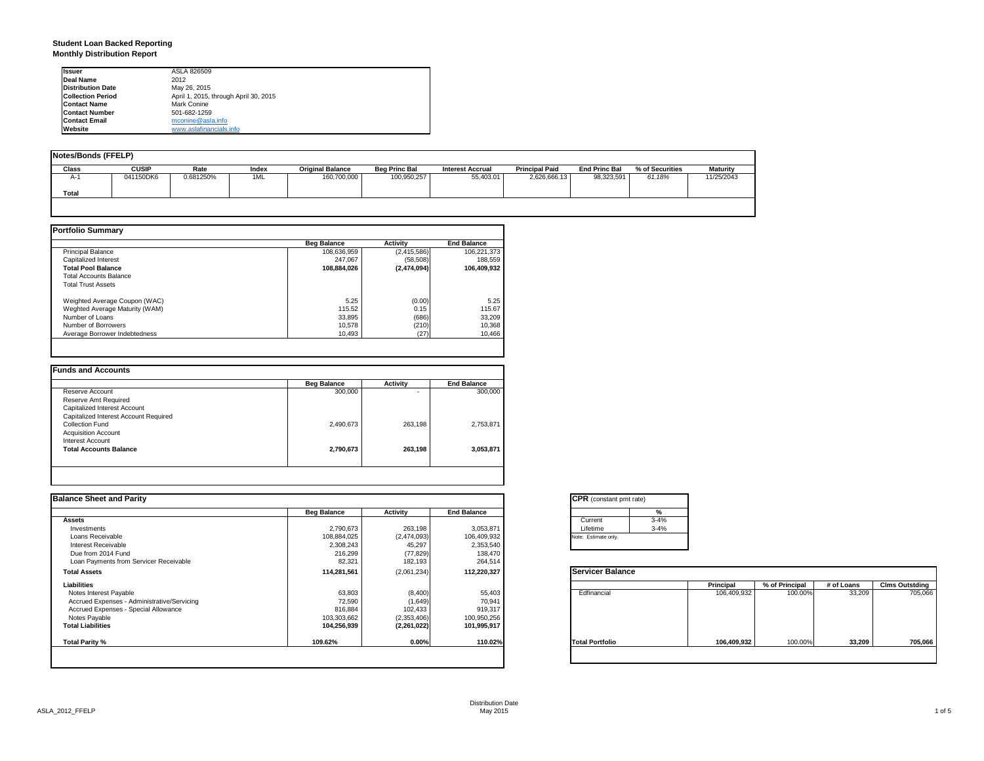### **Student Loan Backed Reporting Monthly Distribution Report**

| <b>Issuer</b>            | ASLA 826509                           |
|--------------------------|---------------------------------------|
| Deal Name                | 2012                                  |
| <b>Distribution Date</b> | May 26, 2015                          |
| <b>Collection Period</b> | April 1, 2015, through April 30, 2015 |
| <b>Contact Name</b>      | Mark Conine                           |
| <b>Contact Number</b>    | 501-682-1259                          |
| <b>Contact Email</b>     | mconine@asla.info                     |
| Website                  | www.aslafinancials.info               |

| Notes/Bonds (FFELP) |              |           |       |                         |                      |                         |                       |                      |                 |                 |
|---------------------|--------------|-----------|-------|-------------------------|----------------------|-------------------------|-----------------------|----------------------|-----------------|-----------------|
| Class               | <b>CUSIP</b> | Rate      | Index | <b>Original Balance</b> | <b>Beg Princ Bal</b> | <b>Interest Accrual</b> | <b>Principal Paid</b> | <b>End Princ Bal</b> | % of Securities | <b>Maturity</b> |
| A-1                 | 041150DK6    | 0.681250% | 1ML   | 160,700,000             | 100,950,257          | 55.403.01               | 2,626,666.13          | 98.323.591           | 61.18%          | 11/25/2043      |
| Total               |              |           |       |                         |                      |                         |                       |                      |                 |                 |
|                     |              |           |       |                         |                      |                         |                       |                      |                 |                 |

|                                | <b>Beg Balance</b> | <b>Activity</b> | <b>End Balance</b> |
|--------------------------------|--------------------|-----------------|--------------------|
| <b>Principal Balance</b>       | 108,636,959        | (2,415,586)     | 106,221,373        |
| Capitalized Interest           | 247.067            | (58, 508)       | 188,559            |
| <b>Total Pool Balance</b>      | 108,884,026        | (2,474,094)     | 106.409.932        |
| <b>Total Accounts Balance</b>  |                    |                 |                    |
| <b>Total Trust Assets</b>      |                    |                 |                    |
| Weighted Average Coupon (WAC)  | 5.25               | (0.00)          | 5.25               |
| Weghted Average Maturity (WAM) | 115.52             | 0.15            | 115.67             |
| Number of Loans                | 33.895             | (686)           | 33,209             |
| Number of Borrowers            | 10.578             | (210)           | 10,368             |
| Average Borrower Indebtedness  | 10.493             | (27)            | 10,466             |

|                                       | <b>Beg Balance</b> | Activity | <b>End Balance</b> |
|---------------------------------------|--------------------|----------|--------------------|
| Reserve Account                       | 300,000            |          | 300,000            |
| Reserve Amt Required                  |                    |          |                    |
| Capitalized Interest Account          |                    |          |                    |
| Capitalized Interest Account Required |                    |          |                    |
| Collection Fund                       | 2,490,673          | 263.198  | 2,753,871          |
| <b>Acquisition Account</b>            |                    |          |                    |
| Interest Account                      |                    |          |                    |
| <b>Total Accounts Balance</b>         | 2,790,673          | 263,198  | 3,053,871          |

| <b>Balance Sheet and Parity</b>             |                    |             |                    | <b>CPR</b> (constant pmt rate) |             |                |            |                       |
|---------------------------------------------|--------------------|-------------|--------------------|--------------------------------|-------------|----------------|------------|-----------------------|
|                                             | <b>Beg Balance</b> | Activity    | <b>End Balance</b> | %                              |             |                |            |                       |
| <b>Assets</b>                               |                    |             |                    | $3 - 4%$<br>Current            |             |                |            |                       |
| Investments                                 | 2,790,673          | 263,198     | 3,053,871          | $3 - 4%$<br>Lifetime           |             |                |            |                       |
| Loans Receivable                            | 108,884,025        | (2,474,093) | 106,409,932        | Note: Estimate only.           |             |                |            |                       |
| Interest Receivable                         | 2,308,243          | 45,297      | 2,353,540          |                                |             |                |            |                       |
| Due from 2014 Fund                          | 216,299            | (77, 829)   | 138,470            |                                |             |                |            |                       |
| Loan Payments from Servicer Receivable      | 82,321             | 182,193     | 264,514            |                                |             |                |            |                       |
| <b>Total Assets</b>                         | 114,281,561        | (2,061,234) | 112,220,327        | <b>Servicer Balance</b>        |             |                |            |                       |
| Liabilities                                 |                    |             |                    |                                | Principal   | % of Principal | # of Loans | <b>Clms Outstding</b> |
| Notes Interest Payable                      | 63,803             | (8,400)     | 55,403             | Edfinancial                    | 106,409,932 | 100.00%        | 33,209     | 705,066               |
| Accrued Expenses - Administrative/Servicing | 72,590             | (1.649)     | 70,941             |                                |             |                |            |                       |
| Accrued Expenses - Special Allowance        | 816,884            | 102,433     | 919,317            |                                |             |                |            |                       |
| Notes Payable                               | 103,303,662        | (2,353,406) | 100,950,256        |                                |             |                |            |                       |
| <b>Total Liabilities</b>                    | 104,256,939        | (2,261,022) | 101,995,917        |                                |             |                |            |                       |
| Total Parity %                              | 109.62%            | 0.00%       | 110.02%            | <b>Total Portfolio</b>         | 106,409,932 | 100.00%        | 33,209     | 705,066               |
|                                             |                    |             |                    |                                |             |                |            |                       |

| <b>CPR</b> (constant pmt rate) |          |  |  |  |  |
|--------------------------------|----------|--|--|--|--|
|                                | %        |  |  |  |  |
| Current                        | $3 - 4%$ |  |  |  |  |
| Lifetime                       | $3 - 4%$ |  |  |  |  |
| Note: Estimate only.           |          |  |  |  |  |

|                        | Principal   | % of Principal | # of Loans | <b>Clms Outstding</b> |
|------------------------|-------------|----------------|------------|-----------------------|
| Edfinancial            | 106,409,932 | 100.00%        | 33,209     | 705,066               |
| <b>Total Portfolio</b> | 106,409,932 | 100.00%        | 33,209     | 705,066               |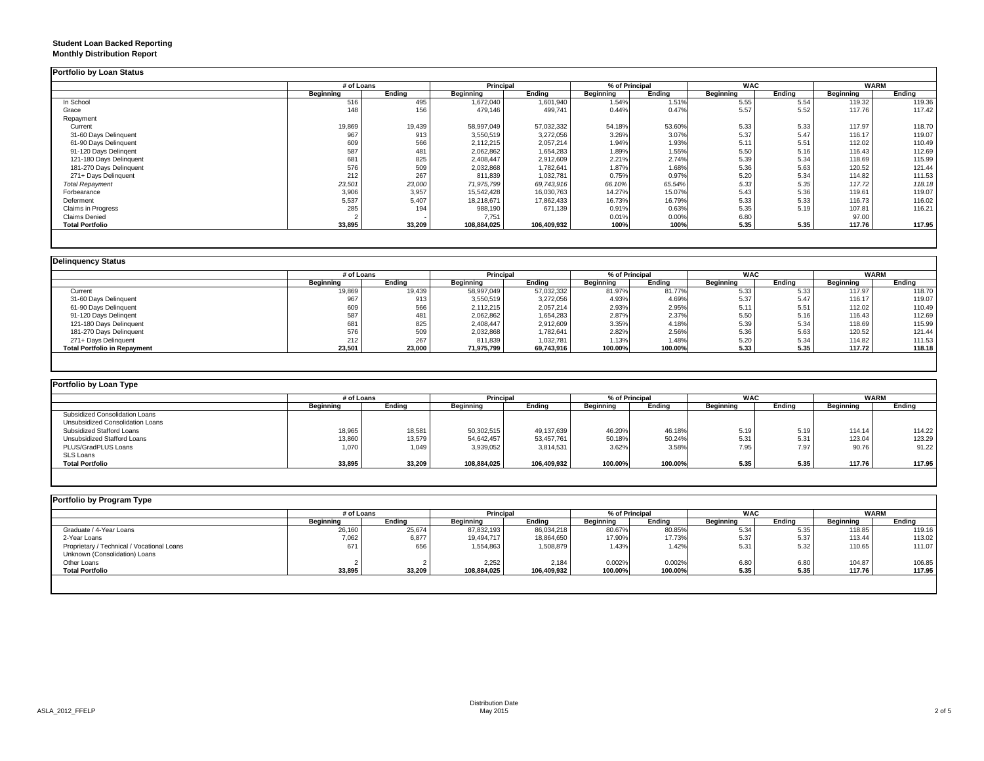### **Student Loan Backed Reporting Monthly Distribution Report**

|                         | # of Loans |        | <b>Principal</b> |             | % of Principal   |        | <b>WAC</b>       |        | <b>WARM</b>      |        |
|-------------------------|------------|--------|------------------|-------------|------------------|--------|------------------|--------|------------------|--------|
|                         | Beginning  | Ending | <b>Beginning</b> | Ending      | <b>Beginning</b> | Ending | <b>Beginning</b> | Ending | <b>Beginning</b> | Ending |
| In School               | 516        | 495    | 1,672,040        | 1,601,940   | 1.54%            | 1.51%  | 5.55             | 5.54   | 119.32           | 119.36 |
| Grace                   | 148        | 156    | 479,146          | 499,741     | 0.44%            | 0.47%  | 5.57             | 5.52   | 117.76           | 117.42 |
| Repayment               |            |        |                  |             |                  |        |                  |        |                  |        |
| Current                 | 19,869     | 19,439 | 58,997,049       | 57,032,332  | 54.18%           | 53.60% | 5.33             | 5.33   | 117.97           | 118.70 |
| 31-60 Days Delinquent   | 967        | 913    | 3,550,519        | 3,272,056   | 3.26%            | 3.07%  | 5.37             | 5.47   | 116.17           | 119.07 |
| 61-90 Days Delinquent   | 609        | 566    | 2,112,215        | 2,057,214   | 1.94%            | 1.93%  | 5.11             | 5.51   | 112.02           | 110.49 |
| 91-120 Days Delingent   | 587        | 481    | 2,062,862        | 1,654,283   | 1.89%            | 1.55%  | 5.50             | 5.16   | 116.43           | 112.69 |
| 121-180 Days Delinquent | 681        | 825    | 2,408,447        | 2,912,609   | 2.21%            | 2.74%  | 5.39             | 5.34   | 118.69           | 115.99 |
| 181-270 Days Delinquent | 576        | 509    | 2,032,868        | 1,782,641   | 1.87%            | 1.68%  | 5.36             | 5.63   | 120.52           | 121.44 |
| 271+ Days Delinquent    | 212        | 267    | 811,839          | 1,032,781   | 0.75%            | 0.97%  | 5.20             | 5.34   | 114.82           | 111.53 |
| <b>Total Repayment</b>  | 23,501     | 23,000 | 71,975,799       | 69,743,916  | 66.10%           | 65.54% | 5.33             | 5.35   | 117.72           | 118.18 |
| Forbearance             | 3,906      | 3,957  | 15.542.428       | 16,030,763  | 14.27%           | 15.07% | 5.43             | 5.36   | 119.61           | 119.07 |
| Deferment               | 5,537      | 5.407  | 18,218,671       | 17,862,433  | 16.73%           | 16.79% | 5.33             | 5.33   | 116.73           | 116.02 |
| Claims in Progress      | 285        | 194    | 988,190          | 671,139     | 0.91%            | 0.63%  | 5.35             | 5.19   | 107.81           | 116.21 |
| <b>Claims Denied</b>    |            |        | 7.751            |             | 0.01%            | 0.00%  | 6.80             |        | 97.00            |        |
| <b>Total Portfolio</b>  | 33,895     | 33,209 | 108,884,025      | 106,409,932 | 100%             | 100%   | 5.35             | 5.35   | 117.76           | 117.95 |

|                                     |           | # of Loans |                  | <b>Principal</b> |           | % of Principal | <b>WAC</b> |        | <b>WARM</b> |        |
|-------------------------------------|-----------|------------|------------------|------------------|-----------|----------------|------------|--------|-------------|--------|
|                                     | Beainnina | Ending     | <b>Beginning</b> | Ending           | Beginning | Ending         | Beginning  | Endina | Beginning   | Ending |
| Current                             | 19,869    | 19,439     | 58,997,049       | 57,032,332       | 81.97%    | 81.77%         | 5.33       | 5.33   | 117.97      | 118.70 |
| 31-60 Days Delinquent               | 967       | 913        | 3,550,519        | 3,272,056        | 4.93%     | 4.69%          | 5.37       | 5.47   | 116.17      | 119.07 |
| 61-90 Days Delinquent               | 609       | 566        | 2,112,215        | 2,057,214        | 2.93%     | 2.95%          | 5.11       | 5.51   | 112.02      | 110.49 |
| 91-120 Days Delingent               | 587       | 481        | 2,062,862        | 1,654,283        | 2.87%     | 2.37%          | 5.50       | 5.16   | 116.43      | 112.69 |
| 121-180 Days Delinquent             | 681       | 825        | 2,408,447        | 2,912,609        | 3.35%     | 4.18%          | 5.39       | 5.34   | 118.69      | 115.99 |
| 181-270 Days Delinquent             | 576       | 509        | 2,032,868        | 1,782,641        | 2.82%     | 2.56%          | 5.36       | 5.63   | 120.52      | 121.44 |
| 271+ Days Delinquent                | 212       | 267        | 811,839          | 1,032,781        | 1.13%     | 1.48%          | 5.20       | 5.34   | 114.82      | 111.53 |
| <b>Total Portfolio in Repayment</b> | 23,501    | 23,000     | 71,975,799       | 69,743,916       | 100.00%   | 100.00%        | 5.33       | 5.35   | 117.72      | 118.18 |

| Portfolio by Loan Type           |                  |        |                  |             |                  |                |                  |            |                  |             |  |
|----------------------------------|------------------|--------|------------------|-------------|------------------|----------------|------------------|------------|------------------|-------------|--|
|                                  | # of Loans       |        | <b>Principal</b> |             |                  | % of Principal |                  | <b>WAC</b> |                  | <b>WARM</b> |  |
|                                  | <b>Beginning</b> | Ending | Beginning        | Ending      | <b>Beginning</b> | Ending         | <b>Beginning</b> | Ending     | <b>Beginning</b> | Ending      |  |
| Subsidized Consolidation Loans   |                  |        |                  |             |                  |                |                  |            |                  |             |  |
| Unsubsidized Consolidation Loans |                  |        |                  |             |                  |                |                  |            |                  |             |  |
| Subsidized Stafford Loans        | 18,965           | 18,581 | 50,302,515       | 49,137,639  | 46.20%           | 46.18%         | 5.19             | 5.19       | 114.14           | 114.22      |  |
| Unsubsidized Stafford Loans      | 13,860           | 13,579 | 54,642,457       | 53,457,761  | 50.18%           | 50.24%         | 5.31             | 5.31       | 123.04           | 123.29      |  |
| PLUS/GradPLUS Loans              | 1,070            | 1.049  | 3,939,052        | 3,814,531   | 3.62%            | 3.58%          | 7.95             | 7.97       | 90.76            | 91.22       |  |
| <b>SLS Loans</b>                 |                  |        |                  |             |                  |                |                  |            |                  |             |  |
| <b>Total Portfolio</b>           | 33,895           | 33,209 | 108,884,025      | 106,409,932 | 100.00%          | 100.00%        | 5.35             | 5.35       | 117.76           | 117.95      |  |

|                                            |           | # of Loans |             | <b>Principal</b> |           | % of Principal |           | <b>WAC</b> |           | <b>WARM</b> |  |
|--------------------------------------------|-----------|------------|-------------|------------------|-----------|----------------|-----------|------------|-----------|-------------|--|
|                                            | Beginning | Ending     | Beginning   | Ending           | Beginning | Ending         | Beginning | Ending     | Beginning | Ending      |  |
| Graduate / 4-Year Loans                    | 26,160    | 25,674     | 87,832,193  | 86,034,218       | 80.67%    | 80.85%         | 5.34      | 5.35       | 118.85    | 119.16      |  |
| 2-Year Loans                               | 7,062     | 6,877      | 19,494,717  | 18,864,650       | 17.90%    | 17.73%         | 5.37      | 5.37       | 113.44    | 113.02      |  |
| Proprietary / Technical / Vocational Loans | 671       | 656        | 1,554,863   | 1,508,879        | 1.43%     | 1.42%          | 5.31      | 5.32       | 110.65    | 111.07      |  |
| Unknown (Consolidation) Loans              |           |            |             |                  |           |                |           |            |           |             |  |
| Other Loans                                |           |            | 2.252       | 2.184            | 0.002%    | 0.002%         | 6.80      | 6.80       | 104.87    | 106.85      |  |
| <b>Total Portfolio</b>                     | 33,895    | 33,209     | 108,884,025 | 106,409,932      | 100.00%   | 100.00%        | 5.35      | 5.35       | 117.76    | 117.95      |  |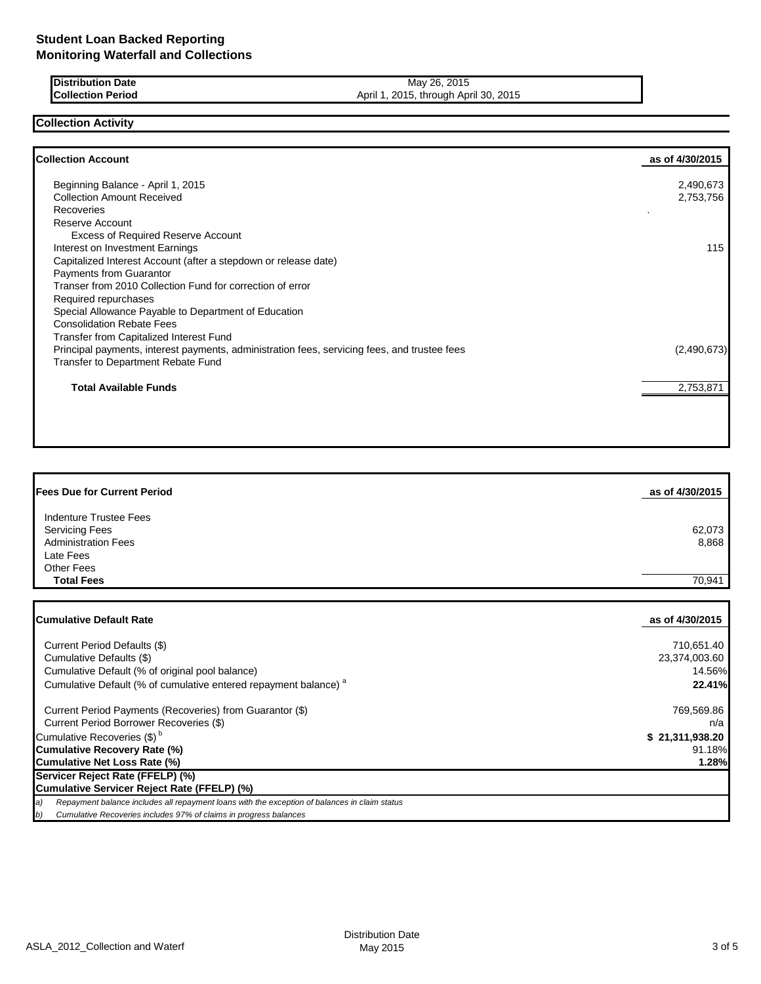| <b>IDistribution Date</b> | 2015<br>26.<br>May                             |
|---------------------------|------------------------------------------------|
| <b>ICollection Period</b> | 2015<br>2015.<br>April 30.<br>throuah<br>April |

## **Collection Activity**

| <b>Collection Account</b>                                                                    | as of 4/30/2015 |
|----------------------------------------------------------------------------------------------|-----------------|
| Beginning Balance - April 1, 2015                                                            | 2,490,673       |
| <b>Collection Amount Received</b>                                                            | 2,753,756       |
| Recoveries                                                                                   |                 |
| Reserve Account                                                                              |                 |
| <b>Excess of Required Reserve Account</b>                                                    |                 |
| Interest on Investment Earnings                                                              | 115             |
| Capitalized Interest Account (after a stepdown or release date)                              |                 |
| Payments from Guarantor                                                                      |                 |
| Transer from 2010 Collection Fund for correction of error                                    |                 |
| Required repurchases                                                                         |                 |
| Special Allowance Payable to Department of Education                                         |                 |
| <b>Consolidation Rebate Fees</b>                                                             |                 |
| <b>Transfer from Capitalized Interest Fund</b>                                               |                 |
| Principal payments, interest payments, administration fees, servicing fees, and trustee fees | (2,490,673)     |
| Transfer to Department Rebate Fund                                                           |                 |
| <b>Total Available Funds</b>                                                                 | 2,753,871       |
|                                                                                              |                 |
|                                                                                              |                 |

| <b>Fees Due for Current Period</b>                  | as of 4/30/2015 |
|-----------------------------------------------------|-----------------|
| Indenture Trustee Fees                              |                 |
| <b>Servicing Fees</b><br><b>Administration Fees</b> | 62,073<br>8,868 |
| Late Fees<br><b>Other Fees</b>                      |                 |
| <b>Total Fees</b>                                   | 70,941          |

| <b>Cumulative Default Rate</b>                                                                      | as of 4/30/2015 |
|-----------------------------------------------------------------------------------------------------|-----------------|
| Current Period Defaults (\$)                                                                        | 710.651.40      |
| Cumulative Defaults (\$)                                                                            | 23.374.003.60   |
| Cumulative Default (% of original pool balance)                                                     | 14.56%          |
| Cumulative Default (% of cumulative entered repayment balance) <sup>a</sup>                         | 22.41%          |
| Current Period Payments (Recoveries) from Guarantor (\$)                                            | 769,569.86      |
| Current Period Borrower Recoveries (\$)                                                             | n/a             |
| Cumulative Recoveries (\$) <sup>b</sup>                                                             | \$21,311,938.20 |
| <b>Cumulative Recovery Rate (%)</b>                                                                 | 91.18%          |
| Cumulative Net Loss Rate (%)                                                                        | 1.28%           |
| Servicer Reject Rate (FFELP) (%)                                                                    |                 |
| Cumulative Servicer Reject Rate (FFELP) (%)                                                         |                 |
| Repayment balance includes all repayment loans with the exception of balances in claim status<br>a) |                 |
| Cumulative Recoveries includes 97% of claims in progress balances<br>b)                             |                 |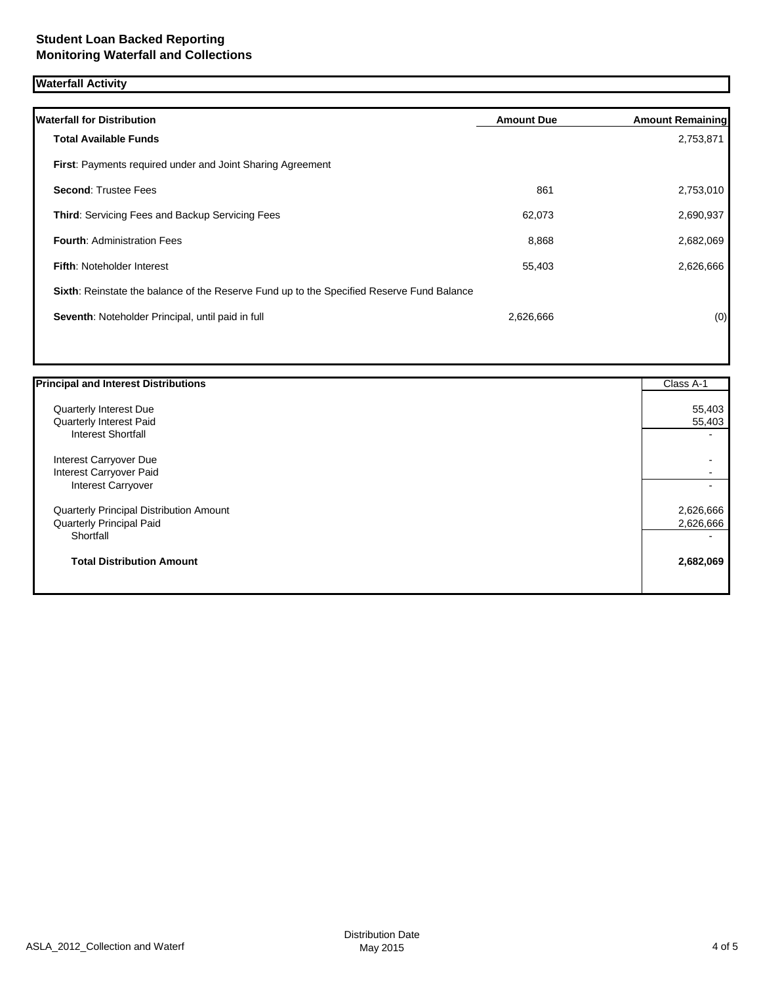# **Waterfall Activity**

| <b>Waterfall for Distribution</b>                                                         | <b>Amount Due</b> | <b>Amount Remaining</b> |
|-------------------------------------------------------------------------------------------|-------------------|-------------------------|
| <b>Total Available Funds</b>                                                              |                   | 2,753,871               |
| <b>First:</b> Payments required under and Joint Sharing Agreement                         |                   |                         |
| <b>Second: Trustee Fees</b>                                                               | 861               | 2,753,010               |
| <b>Third: Servicing Fees and Backup Servicing Fees</b>                                    | 62,073            | 2,690,937               |
| <b>Fourth: Administration Fees</b>                                                        | 8,868             | 2,682,069               |
| <b>Fifth: Noteholder Interest</b>                                                         | 55,403            | 2,626,666               |
| Sixth: Reinstate the balance of the Reserve Fund up to the Specified Reserve Fund Balance |                   |                         |
| Seventh: Noteholder Principal, until paid in full                                         | 2,626,666         | (0)                     |
|                                                                                           |                   |                         |

| <b>Principal and Interest Distributions</b>    | Class A-1 |
|------------------------------------------------|-----------|
| Quarterly Interest Due                         | 55,403    |
| Quarterly Interest Paid                        | 55,403    |
| <b>Interest Shortfall</b>                      |           |
| Interest Carryover Due                         |           |
| Interest Carryover Paid                        |           |
| <b>Interest Carryover</b>                      |           |
| <b>Quarterly Principal Distribution Amount</b> | 2,626,666 |
| <b>Quarterly Principal Paid</b>                | 2,626,666 |
| Shortfall                                      |           |
| <b>Total Distribution Amount</b>               | 2,682,069 |
|                                                |           |